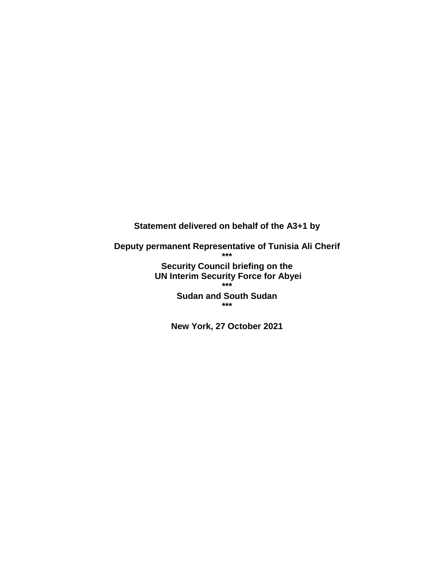**Statement delivered on behalf of the A3+1 by** 

**Deputy permanent Representative of Tunisia Ali Cherif \*\*\***

> **Security Council briefing on the UN Interim Security Force for Abyei \*\*\***

**Sudan and South Sudan \*\*\***

**New York, 27 October 2021**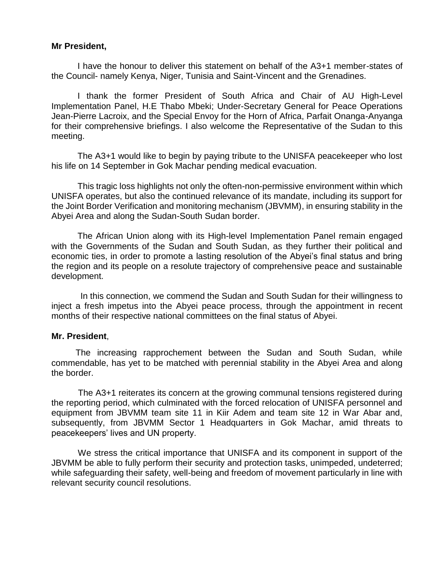## **Mr President,**

I have the honour to deliver this statement on behalf of the A3+1 member-states of the Council- namely Kenya, Niger, Tunisia and Saint-Vincent and the Grenadines.

I thank the former President of South Africa and Chair of AU High-Level Implementation Panel, H.E Thabo Mbeki; Under-Secretary General for Peace Operations Jean-Pierre Lacroix, and the Special Envoy for the Horn of Africa, Parfait Onanga-Anyanga for their comprehensive briefings. I also welcome the Representative of the Sudan to this meeting.

The A3+1 would like to begin by paying tribute to the UNISFA peacekeeper who lost his life on 14 September in Gok Machar pending medical evacuation.

This tragic loss highlights not only the often-non-permissive environment within which UNISFA operates, but also the continued relevance of its mandate, including its support for the Joint Border Verification and monitoring mechanism (JBVMM), in ensuring stability in the Abyei Area and along the Sudan-South Sudan border.

The African Union along with its High-level Implementation Panel remain engaged with the Governments of the Sudan and South Sudan, as they further their political and economic ties, in order to promote a lasting resolution of the Abyei's final status and bring the region and its people on a resolute trajectory of comprehensive peace and sustainable development.

 In this connection, we commend the Sudan and South Sudan for their willingness to inject a fresh impetus into the Abyei peace process, through the appointment in recent months of their respective national committees on the final status of Abyei.

## **Mr. President**,

 The increasing rapprochement between the Sudan and South Sudan, while commendable, has yet to be matched with perennial stability in the Abyei Area and along the border.

 The A3+1 reiterates its concern at the growing communal tensions registered during the reporting period, which culminated with the forced relocation of UNISFA personnel and equipment from JBVMM team site 11 in Kiir Adem and team site 12 in War Abar and, subsequently, from JBVMM Sector 1 Headquarters in Gok Machar, amid threats to peacekeepers' lives and UN property.

 We stress the critical importance that UNISFA and its component in support of the JBVMM be able to fully perform their security and protection tasks, unimpeded, undeterred; while safeguarding their safety, well-being and freedom of movement particularly in line with relevant security council resolutions.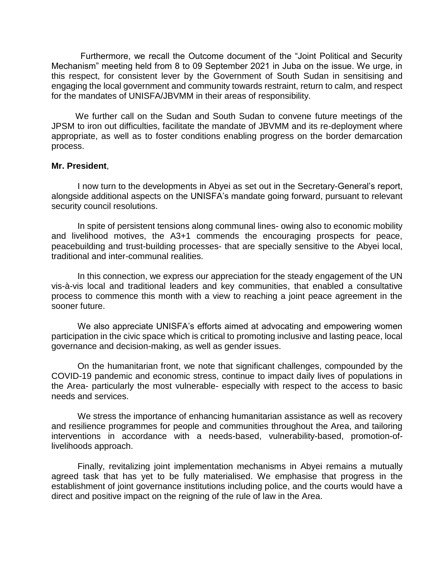Furthermore, we recall the Outcome document of the "Joint Political and Security Mechanism" meeting held from 8 to 09 September 2021 in Juba on the issue. We urge, in this respect, for consistent lever by the Government of South Sudan in sensitising and engaging the local government and community towards restraint, return to calm, and respect for the mandates of UNISFA/JBVMM in their areas of responsibility.

 We further call on the Sudan and South Sudan to convene future meetings of the JPSM to iron out difficulties, facilitate the mandate of JBVMM and its re-deployment where appropriate, as well as to foster conditions enabling progress on the border demarcation process.

## **Mr. President**,

I now turn to the developments in Abyei as set out in the Secretary-General's report, alongside additional aspects on the UNISFA's mandate going forward, pursuant to relevant security council resolutions.

In spite of persistent tensions along communal lines- owing also to economic mobility and livelihood motives, the A3+1 commends the encouraging prospects for peace, peacebuilding and trust-building processes- that are specially sensitive to the Abyei local, traditional and inter-communal realities.

In this connection, we express our appreciation for the steady engagement of the UN vis-à-vis local and traditional leaders and key communities, that enabled a consultative process to commence this month with a view to reaching a joint peace agreement in the sooner future.

We also appreciate UNISFA's efforts aimed at advocating and empowering women participation in the civic space which is critical to promoting inclusive and lasting peace, local governance and decision-making, as well as gender issues.

On the humanitarian front, we note that significant challenges, compounded by the COVID-19 pandemic and economic stress, continue to impact daily lives of populations in the Area- particularly the most vulnerable- especially with respect to the access to basic needs and services.

We stress the importance of enhancing humanitarian assistance as well as recovery and resilience programmes for people and communities throughout the Area, and tailoring interventions in accordance with a needs-based, vulnerability-based, promotion-oflivelihoods approach.

Finally, revitalizing joint implementation mechanisms in Abyei remains a mutually agreed task that has yet to be fully materialised. We emphasise that progress in the establishment of joint governance institutions including police, and the courts would have a direct and positive impact on the reigning of the rule of law in the Area.